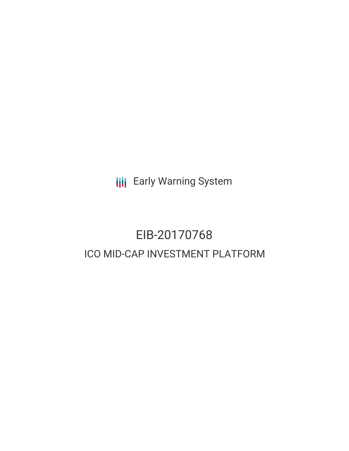**III** Early Warning System

# EIB-20170768 ICO MID-CAP INVESTMENT PLATFORM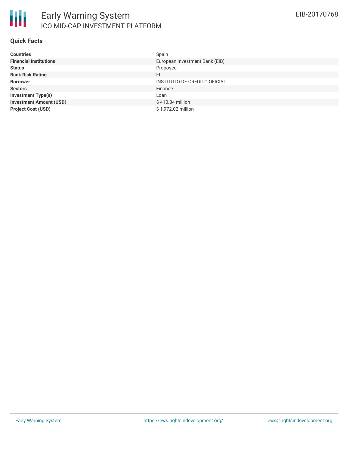

### **Quick Facts**

| <b>Countries</b>               | Spain                          |
|--------------------------------|--------------------------------|
| <b>Financial Institutions</b>  | European Investment Bank (EIB) |
| <b>Status</b>                  | Proposed                       |
| <b>Bank Risk Rating</b>        | FI                             |
| <b>Borrower</b>                | INSTITUTO DE CREDITO OFICIAL   |
| <b>Sectors</b>                 | Finance                        |
| <b>Investment Type(s)</b>      | Loan                           |
| <b>Investment Amount (USD)</b> | \$410.84 million               |
| <b>Project Cost (USD)</b>      | \$1,972.02 million             |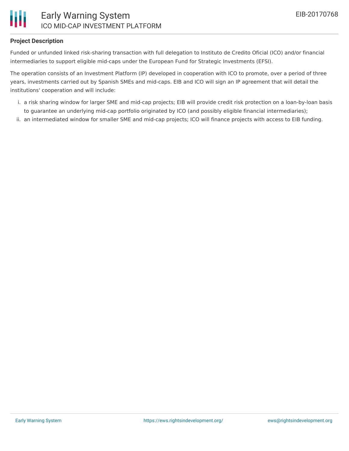

# **Project Description**

Funded or unfunded linked risk-sharing transaction with full delegation to Instituto de Credito Oficial (ICO) and/or financial intermediaries to support eligible mid-caps under the European Fund for Strategic Investments (EFSI).

The operation consists of an Investment Platform (IP) developed in cooperation with ICO to promote, over a period of three years, investments carried out by Spanish SMEs and mid-caps. EIB and ICO will sign an IP agreement that will detail the institutions' cooperation and will include:

- i. a risk sharing window for larger SME and mid-cap projects; EIB will provide credit risk protection on a loan-by-loan basis to guarantee an underlying mid-cap portfolio originated by ICO (and possibly eligible financial intermediaries);
- ii. an intermediated window for smaller SME and mid-cap projects; ICO will finance projects with access to EIB funding.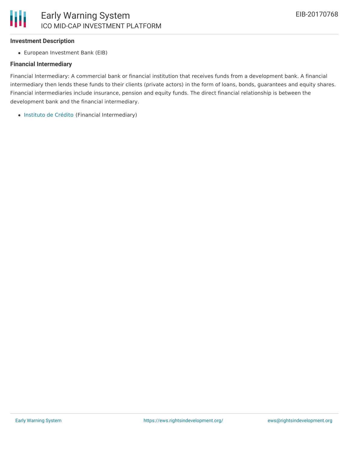### **Investment Description**

European Investment Bank (EIB)

#### **Financial Intermediary**

Financial Intermediary: A commercial bank or financial institution that receives funds from a development bank. A financial intermediary then lends these funds to their clients (private actors) in the form of loans, bonds, guarantees and equity shares. Financial intermediaries include insurance, pension and equity funds. The direct financial relationship is between the development bank and the financial intermediary.

[Instituto](file:///actor/711/) de Crédito (Financial Intermediary)